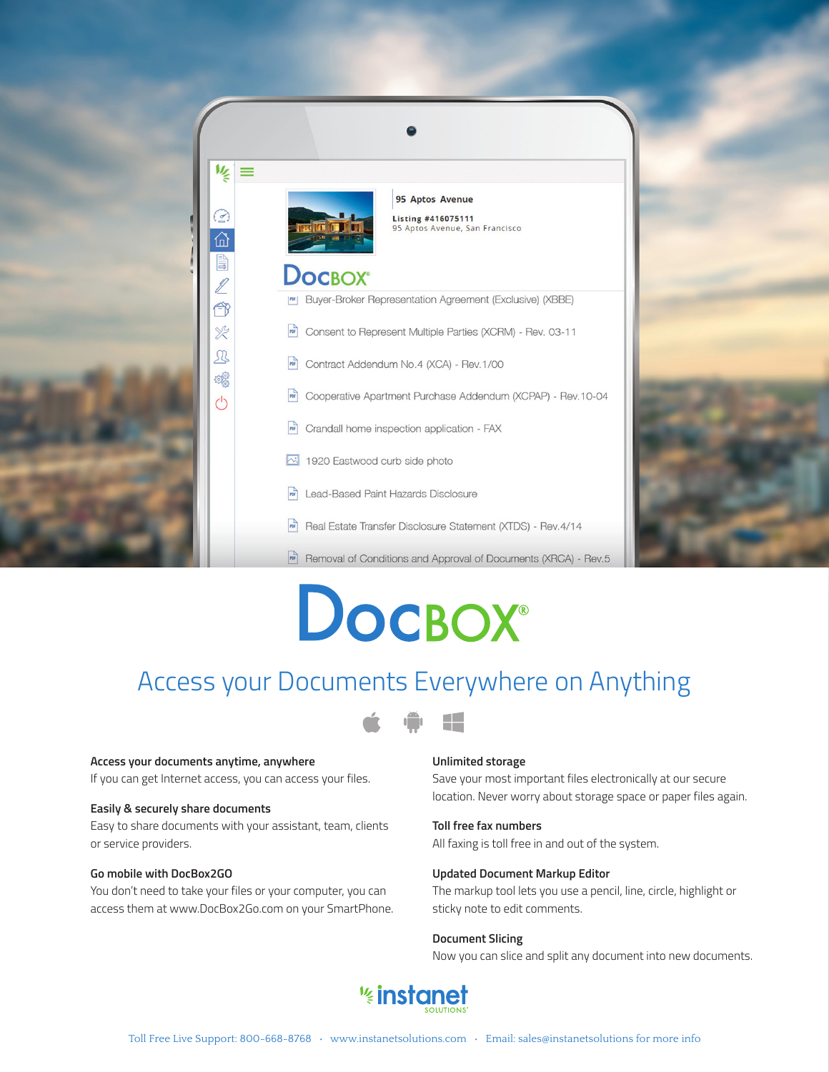

# **DOCBOX®**

### Access your Documents Everywhere on Anything



### **Access your documents anytime, anywhere**

If you can get Internet access, you can access your files.

### **Easily & securely share documents**

Easy to share documents with your assistant, team, clients or service providers.

### **Go mobile with DocBox2GO**

You don't need to take your files or your computer, you can access them at www.DocBox2Go.com on your SmartPhone.

### **Unlimited storage**

Save your most important files electronically at our secure location. Never worry about storage space or paper files again.

### **Toll free fax numbers**

All faxing is toll free in and out of the system.

#### **Updated Document Markup Editor**

The markup tool lets you use a pencil, line, circle, highlight or sticky note to edit comments.

### **Document Slicing**

Now you can slice and split any document into new documents.